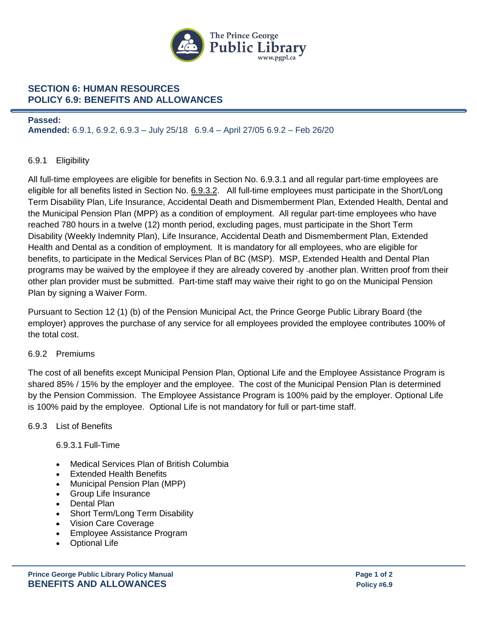

# **SECTION 6: HUMAN RESOURCES POLICY 6.9: BENEFITS AND ALLOWANCES**

#### **Passed:**

**Amended:** 6.9.1, 6.9.2, 6.9.3 – July 25/18 6.9.4 – April 27/05 6.9.2 – Feb 26/20

## 6.9.1 Eligibility

All full-time employees are eligible for benefits in Section No. 6.9.3.1 and all regular part-time employees are eligible for all benefits listed in Section No. 6.9.3.2. All full-time employees must participate in the Short/Long Term Disability Plan, Life Insurance, Accidental Death and Dismemberment Plan, Extended Health, Dental and the Municipal Pension Plan (MPP) as a condition of employment. All regular part-time employees who have reached 780 hours in a twelve (12) month period, excluding pages, must participate in the Short Term Disability (Weekly Indemnity Plan), Life Insurance, Accidental Death and Dismemberment Plan, Extended Health and Dental as a condition of employment. It is mandatory for all employees, who are eligible for benefits, to participate in the Medical Services Plan of BC (MSP). MSP, Extended Health and Dental Plan programs may be waived by the employee if they are already covered by -another plan. Written proof from their other plan provider must be submitted. Part-time staff may waive their right to go on the Municipal Pension Plan by signing a Waiver Form.

Pursuant to Section 12 (1) (b) of the Pension Municipal Act, the Prince George Public Library Board (the employer) approves the purchase of any service for all employees provided the employee contributes 100% of the total cost.

#### 6.9.2 Premiums

The cost of all benefits except Municipal Pension Plan, Optional Life and the Employee Assistance Program is shared 85% / 15% by the employer and the employee. The cost of the Municipal Pension Plan is determined by the Pension Commission. The Employee Assistance Program is 100% paid by the employer. Optional Life is 100% paid by the employee. Optional Life is not mandatory for full or part-time staff.

#### 6.9.3 List of Benefits

6.9.3.1 Full-Time

- Medical Services Plan of British Columbia
- Extended Health Benefits
- Municipal Pension Plan (MPP)
- Group Life Insurance
- Dental Plan
- Short Term/Long Term Disability
- Vision Care Coverage
- Employee Assistance Program
- Optional Life